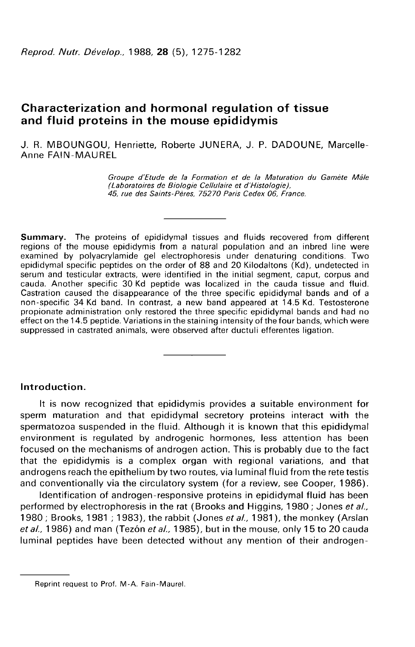# Characterization and hormonal regulation of tissue and fluid proteins in the mouse epididymis

J. R. MBOUNGOU, Henriette, Roberte JUNERA, J. P. DADOUNE, Marcelle-Anne FAIN-MAUREL

> Groupe d'Etude de la Formation et de la Maturation du Gamète Mâle (Laboratoires de Biologie Cellulaire et d'Histologie), 45, rue des Saints-Pères, 75270 Paris Cedex 06, France.

Summary. The proteins of epididymal tissues and fluids recovered from different regions of the mouse epididymis from a natural population and an inbred line were examined by polyacrylamide gel electrophoresis under denaturing conditions. Two epididymal specific peptides on the order of 88 and 20 Kilodaltons (Kd), undetected in serum and testicular extracts, were identified in the initial segment, caput, corpus and cauda. Another specific 30 Kd peptide was localized in the cauda tissue and fluid. Castration caused the disappearance of the three specific epididymal bands and of a non-specific 34 Kd band. In contrast, a new band appeared at 14.5 Kd. Testosterone propionate administration only restored the three specific epididymal bands and had no effect on the 14.5 peptide. Variations in the staining intensity of the four bands, which were suppressed in castrated animals, were observed after ductuli efferentes ligation.

## Introduction.

It is now recognized that epididymis provides a suitable environment for sperm maturation and that epididymal secretory proteins interact with the spermatozoa suspended in the fluid. Although it is known that this epididymal environment is regulated by androgenic hormones, less attention has been focused on the mechanisms of androgen action. This is probably due to the fact that the epididymis is a complex organ with regional variations, and that androgens reach the epithelium by two routes, via luminal fluid from the rete testis and conventionally via the circulatory system (for a review, see Cooper, 1986).

Identification of androgen-responsive proteins in epididymal fluid has been performed by electrophoresis in the rat (Brooks and Higgins, 1980; Jones et al., 1980; Brooks, 1981; 1983), the rabbit (Jones et al., 1981), the monkey (Arslan et al., 1986) and man (Tezón et al., 1985), but in the mouse, only 15 to 20 cauda luminal peptides have been detected without any mention of their androgen-

Reprint request to Prof. M-A. Fain-Maurel.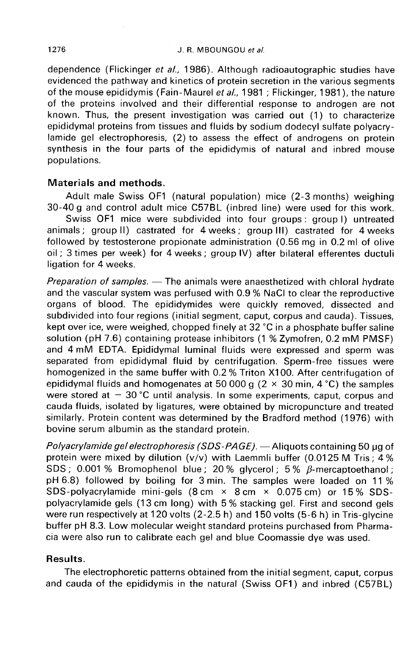dependence (Flickinger et al., 1986). Although radioautographic studies have evidenced the pathway and kinetics of protein secretion in the various segments of the mouse epididymis (Fain-Maurel et al., 1981; Flickinger, 1981), the nature of the proteins involved and their differential response to androgen are not known. Thus, the present investigation was carried out (1 ) to characterize epididymal proteins from tissues and fluids by sodium dodecyl sulfate polyacrylamide gel electrophoresis, (2) to assess the effect of androgens on protein synthesis in the four parts of the epididymis of natural and inbred mouse populations.

## Materials and methods.

Adult male Swiss OF1 (natural population) mice (2-3 months) weighing 30-40 g and control adult mice C57BL (inbred line) were used for this work.

Swiss OF1 mice were subdivided into four groups : group I) untreated animals ; group II) castrated for 4 weeks ; group III) castrated for 4 weeks followed by testosterone propionate administration (0.56 mg in 0.2 ml of olive oil ; 3 times per week) for 4 weeks ; group IV) after bilateral efferentes ductuli ligation for 4 weeks.

*Preparation of samples.*  $-$  The animals were anaesthetized with chloral hydrate and the vascular system was perfused with 0.9 % NaCl to clear the reproductive organs of blood. The epididymides were quickly removed, dissected and subdivided into four regions (initial segment, caput, corpus and cauda). Tissues, kept over ice, were weighed, chopped finely at 32 °C in a phosphate buffer saline solution (pH 7.6) containing protease inhibitors (1 % Zymofren, 0.2 mM PMSF) and 4 mM EDTA. Epididymal luminal fluids were expressed and sperm was separated from epididymal fluid by centrifugation. Sperm-free tissues were homogenized in the same buffer with 0.2 % Triton X100. After centrifugation of epididymal fluids and homogenates at 50 000 g ( $2 \times 30$  min, 4 °C) the samples were stored at  $-30$  °C until analysis. In some experiments, caput, corpus and cauda fluids, isolated by ligatures, were obtained by micropuncture and treated similarly. Protein content was determined by the Bradford method (1976) with bovine serum albumin as the standard protein.

Polyacrylamide gel electrophoresis (SDS-PAGE).  $-$  Aliquots containing 50 µg of protein were mixed by dilution  $(v/v)$  with Laemmli buffer (0.0125 M Tris; 4 % SDS; 0.001 % Bromophenol blue; 20 % glycerol; 5 %  $\beta$ -mercaptoethanol; pH 6.8) followed by boiling for 3 min. The samples were loaded on 11 % SDS-polyacrylamide mini-gels (8 cm  $\times$  8 cm  $\times$  0.075 cm) or 15 % SDSpolyacrylamide gels (13 cm long) with 5 % stacking gel. First and second gels were run respectively at 120 volts (2-2.5 h) and 150 volts (5-6 h) in Tris-glycine buffer pH 8.3. Low molecular weight standard proteins purchased from Pharmacia were also run to calibrate each gel and blue Coomassie dye was used.

## Results.

The electrophoretic patterns obtained from the initial segment, caput, corpus and cauda of the epididymis in the natural (Swiss OF1) and inbred (C57BL)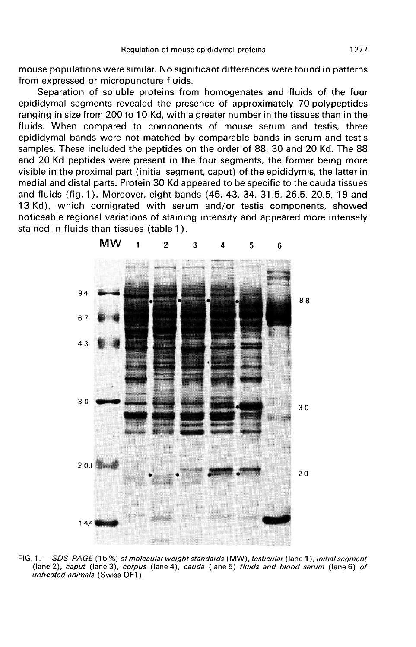mouse populations were similar. No significant differences were found in patterns from expressed or micropuncture fluids.

Separation of soluble proteins from homogenates and fluids of the four epididymal segments revealed the presence of approximately 70 polypeptides ranging in size from 200 to 10 Kd, with a greater number in the tissues than in the fluids. When compared to components of mouse serum and testis, three epididymal bands were not matched by comparable bands in serum and testis samples. These included the peptides on the order of 88, 30 and 20 Kd. The 88 and 20 Kd peptides were present in the four segments, the former being more visible in the proximal part (initial segment, caput) of the epididymis, the latter in medial and distal parts. Protein 30 Kd appeared to be specific to the cauda tissues and fluids (fig. 1 ). Moreover, eight bands (45, 43, 34, 31.5, 26.5, 20.5, 19 and 13 Kd), which comigrated with serum and/or testis components, showed noticeable regional variations of staining intensity and appeared more intensely stained in fluids than tissues (table 1 ).



FIG. 1. - SDS-PAGE (15%) of molecular weight standards (MW), testicular (lane 1), initial segment (lane 2), caput (lane 3), corpus (lane 4), cauda (lane 5) fluids and blood serum (lane 6) of untreated animals (Swiss OF1).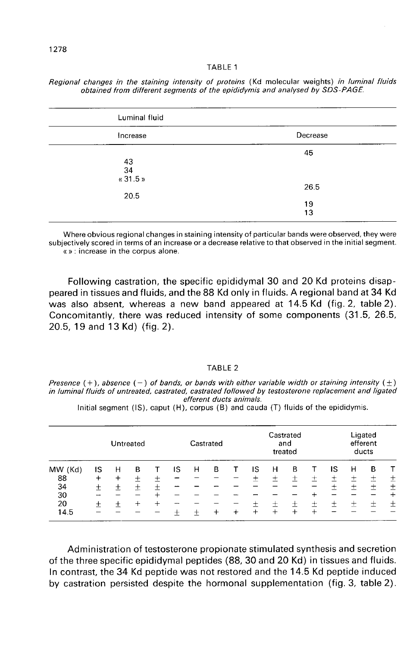#### TABLE 1

| Luminal fluid        |          |
|----------------------|----------|
| Increase             | Decrease |
| $43$<br>34<br>«31.5» | 45       |
| 20.5                 | 26.5     |
|                      | 19<br>13 |

Regional changes in the staining intensity of proteins (Kd molecular weights) in luminal fluids obtained from different seaments of the epididymis and analysed by SDS-PAGE.

Where obvious regional changes in staining intensity of particular bands were observed, they were subjectively scored in terms of an increase or a decrease relative to that observed in the initial segment. «»: increase in the corpus alone.

Following castration, the specific epididymal 30 and 20 Kd proteins disappeared in tissues and fluids, and the 88 Kd only in fluids. A regional band at 34 Kd was also absent, whereas a new band appeared at 14.5 Kd (fig. 2, table 2). Concomitantly, there was reduced intensity of some components (31.5, 26.5, 20.5, 19 and 13 Kd) (fig. 2).

## TABI F 2

Presence  $(+)$ , absence  $(-)$  of bands, or bands with either variable width or staining intensity  $(\pm)$ in luminal fluids of untreated, castrated, castrated followed by testosterone replacement and ligated efferent ducts animals.

Initial segment  $(IS)$ , caput  $(H)$ , corpus  $(B)$  and cauda  $(T)$  fluids of the epididymis.

| MW (Kd) | Untreated |       |   |   | Castrated |   |   |   | Castrated<br>and<br>treated |         |      |        | Ligated<br>efferent<br>ducts |       |   |       |
|---------|-----------|-------|---|---|-----------|---|---|---|-----------------------------|---------|------|--------|------------------------------|-------|---|-------|
|         | ١S        | н     | в |   | IS        | н | в |   | IS                          | н       | В    |        | IS                           | н     | в |       |
| 88      | $^+$      | $\pm$ | + | 士 |           |   |   |   | 土                           | ┭<br>-- | +    | ┭      | ┭                            | 土     | 士 | 土     |
| 34      | $^+$      | $^+$  | 土 | ┿ |           |   |   |   |                             |         |      |        | $\overline{\phantom{a}}$     | ┿     | 土 | 土     |
| 30      |           |       |   |   |           |   |   |   |                             |         |      |        |                              |       |   | $\pm$ |
| 20      | +         |       |   | ┿ |           |   |   |   | ┭                           | ÷       | $^+$ | $\div$ | $\,{}^+$                     | $\pm$ | 士 | 土     |
| 14.5    |           |       |   |   |           |   |   | ÷ | $^{+}$                      | $^{+}$  | +    | ∸      |                              |       |   |       |

Administration of testosterone propionate stimulated synthesis and secretion of the three specific epididymal peptides (88, 30 and 20 Kd) in tissues and fluids. In contrast, the 34 Kd peptide was not restored and the 14.5 Kd peptide induced by castration persisted despite the hormonal supplementation (fig. 3, table 2).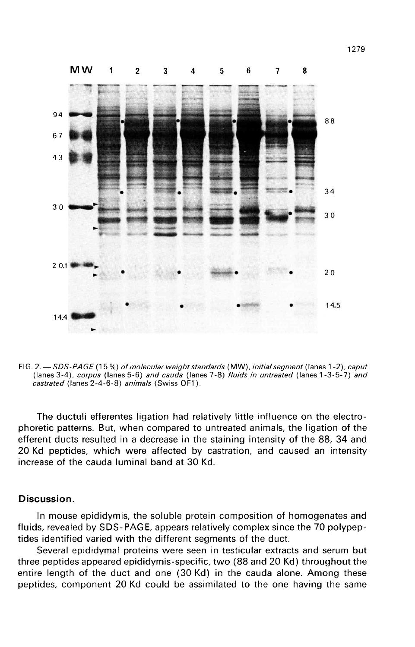

FIG. 2. - SDS-PAGE (15%) of molecular weight standards (MW), initial segment (lanes 1-2), caput (lanes 3-4), corpus (lanes 5-6) and cauda (lanes 7-8) fluids in untreated (lanes 1-3-5-7) and castrated (lanes 2-4-6-8) animals (Swiss OF1).

The ductuli efferentes ligation had relatively little influence on the electrophoretic patterns. But, when compared to untreated animals, the ligation of the efferent ducts resulted in a decrease in the staining intensity of the 88, 34 and 20 Kd peptides, which were affected by castration, and caused an intensity increase of the cauda luminal band at 30 Kd.

### Discussion.

In mouse epididymis, the soluble protein composition of homogenates and fluids, revealed by SDS-PAGE, appears relatively complex since the 70 polypeptides identified varied with the different segments of the duct.

Several epididymal proteins were seen in testicular extracts and serum but three peptides appeared epididymis-specific, two (88 and 20 Kd) throughout the entire length of the duct and one (30 Kd) in the cauda alone. Among these peptides, component 20 Kd could be assimilated to the one having the same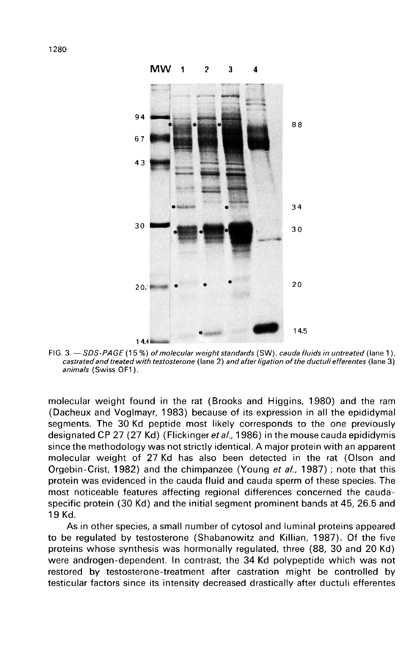

FIG. 3. - SDS-PAGE (15%) of molecular weight standards (SW), cauda fluids in untreated (lane 1), castrated and treated with testosterone (lane 2) and after ligation of the ductuli efferentes (lane 3) animals (Swiss OF1).

molecular weight found in the rat (Brooks and Higgins, 1980) and the ram (Dacheux and Voglmayr, 1983) because of its expression in all the epididymal segments. The 30 Kd peptide most likely corresponds to the one previously designated CP 27 (27 Kd) (Flickinger et al., 1986) in the mouse cauda epididymis since the methodology was not strictly identical. A major protein with an apparent molecular weight of 27 Kd has also been detected in the rat (Olson and Orgebin-Crist, 1982) and the chimpanzee (Young et al., 1987); note that this protein was evidenced in the cauda fluid and cauda sperm of these species. The most noticeable features affecting regional differences concerned the caudaspecific protein (30 Kd) and the initial segment prominent bands at 45, 26.5 and 19 Kd.

As in other species, a small number of cytosol and luminal proteins appeared to be regulated by testosterone (Shabanowitz and Killian, 1987). Of the five proteins whose synthesis was hormonally regulated, three (88, 30 and 20 Kd) were androgen-dependent. In contrast, the 34 Kd polypeptide which was not restored by testosterone-treatment after castration might be controlled by testicular factors since its intensity decreased drastically after ductuli efferentes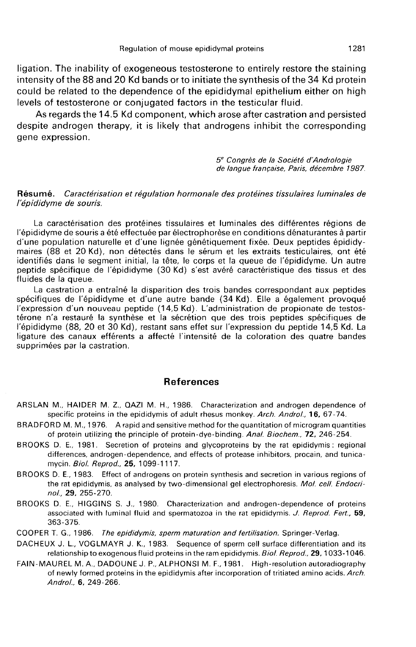ligation. The inability of exogeneous testosterone to entirely restore the staining intensity of the 88 and 20 Kd bands or to initiate the synthesis of the 34 Kd protein could be related to the dependence of the epididymal epithelium either on high levels of testosterone or conjugated factors in the testicular fluid.

As regards the 14.5 Kd component, which arose after castration and persisted despite androgen therapy, it is likely that androgens inhibit the corresponding gene expression.

> 5e Congrès de la Soci6t6 d:4ndrologie de langue francaise, Paris, decembre 1987.

### Résumé. Caractérisation et régulation hormonale des protéines tissulaires luminales de l'épididyme de souris.

La caractérisation des protéines tissulaires et luminales des différentes régions de l'épididyme de souris a été effectuée par électrophorèse en conditions dénaturantes à partir d'une population naturelle et d'une lignée génétiquement fixée. Deux peptides épididymaires (88 et 20 Kd), non détectés dans le sérum et les extraits testiculaires, ont été identifiés dans le segment initial, la tête, le corps et la queue de l'épididyme. Un autre peptide spécifique de l'épididyme (30 Kd) s'est avéré caractéristique des tissus et des fluides de la queue.

La castration a entraîné la disparition des trois bandes correspondant aux peptides spécifiques de l'épididyme et d'une autre bande (34 Kd). Elle a également provoqué l'expression d'un nouveau peptide (14,5 Kd). L'administration de propionate de testostérone n'a restauré la synthèse et la sécrétion que des trois peptides spécifiques de l'épididyme (88, 20 et 30 Kd), restant sans effet sur l'expression du peptide 14,5 Kd. La ligature des canaux efférents a affecté l'intensité de la coloration des quatre bandes supprimées par la castration.

## References

- ARSLAN M., HAIDER M. Z., QAZI M. H., 1986. Characterization and androgen dependence of specific proteins in the epididymis of adult rhesus monkey. Arch. Androl., 16, 67-74.
- BRADFORD M. M., 1976. A rapid and sensitive method for the quantitation of microgram quantities of protein utilizing the principle of protein-dye-binding. Anal. Biochem., 72, 246-254.
- BROOKS D. E., 1981. Secretion of proteins and glycoproteins by the rat epididymis: regional differences, androgen-dependence, and effects of protease inhibitors, procain, and tunicamycin. Biol. Reprod., 25, 1099-1117.
- BROOKS D. E., 1983. Effect of androgens on protein synthesis and secretion in various regions of the rat epididymis, as analysed by two-dimensional gel electrophoresis. Mol. cell. Endocrino/, 29, 255-270.
- BROOKS D. E., HIGGINS S. J., 1980. Characterization and androgen-dependence of proteins associated with luminal fluid and spermatozoa in the rat epididymis. J. Reprod. Fert., 59, 363-375.
- COOPER T. G., 1986. The epididymis, sperm maturation and fertilisation. Springer-Verlag.
- DACHEUX J. L., VOGLMAYR J. K., 1983. Sequence of sperm cell surface differentiation and its relationship to exogenous fluid proteins in the ram epididymis. Biol. Reprod., 29, 1033-1046.
- FAIN-MAUREL M. A., DADOUNE J. P., ALPHONSI M. F., 1981. High-resolution autoradiography of newly formed proteins in the epididymis after incorporation of tritiated amino acids. Arch. Androl., 6, 249-266.